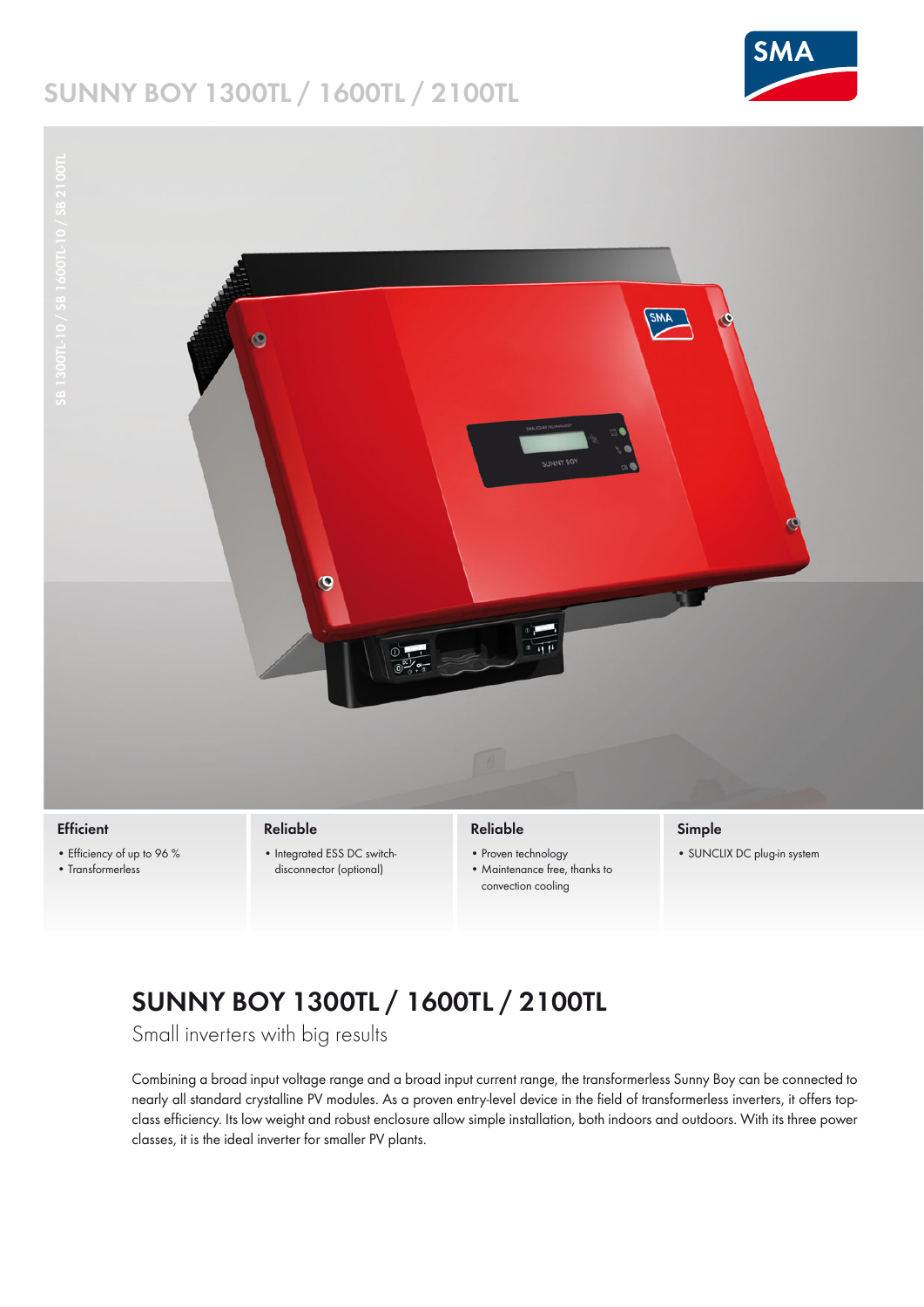## **SUNNY BOY 1300TL / 1600TL / 2100TL**





#### **Efficient**

- Efficiency of up to 96 % • Transformerless
- 
- Integrated ESS DC switchdisconnector (optional)

### **Reliable**

- Proven technology
- Maintenance free, thanks to convection cooling

## **Simple**

• SUNCLIX DC plug-in system

# **SUNNY BOY 1300TL / 1600TL / 2100TL**

Small inverters with big results

Combining a broad input voltage range and a broad input current range, the transformerless Sunny Boy can be connected to nearly all standard crystalline PV modules. As a proven entry-level device in the field of transformerless inverters, it offers topclass efficiency. Its low weight and robust enclosure allow simple installation, both indoors and outdoors. With its three power classes, it is the ideal inverter for smaller PV plants.